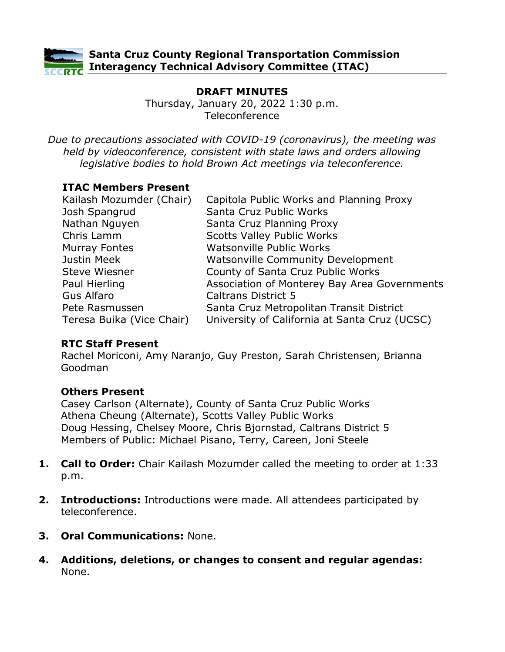

# **DRAFT MINUTES**

Thursday, January 20, 2022 1:30 p.m. Teleconference

*Due to precautions associated with COVID-19 (coronavirus), the meeting was held by videoconference, consistent with state laws and orders allowing legislative bodies to hold Brown Act meetings via teleconference.*

### **ITAC Members Present**

| Kailash Mozumder (Chair)  | Capitola Public Works and Planning Proxy      |
|---------------------------|-----------------------------------------------|
| Josh Spangrud             | Santa Cruz Public Works                       |
| Nathan Nguyen             | Santa Cruz Planning Proxy                     |
| Chris Lamm                | <b>Scotts Valley Public Works</b>             |
| <b>Murray Fontes</b>      | <b>Watsonville Public Works</b>               |
| Justin Meek               | <b>Watsonville Community Development</b>      |
| <b>Steve Wiesner</b>      | County of Santa Cruz Public Works             |
| Paul Hierling             | Association of Monterey Bay Area Governments  |
| <b>Gus Alfaro</b>         | <b>Caltrans District 5</b>                    |
| Pete Rasmussen            | Santa Cruz Metropolitan Transit District      |
| Teresa Buika (Vice Chair) | University of California at Santa Cruz (UCSC) |

### **RTC Staff Present**

Rachel Moriconi, Amy Naranjo, Guy Preston, Sarah Christensen, Brianna Goodman

## **Others Present**

Casey Carlson (Alternate), County of Santa Cruz Public Works Athena Cheung (Alternate), Scotts Valley Public Works Doug Hessing, Chelsey Moore, Chris Bjornstad, Caltrans District 5 Members of Public: Michael Pisano, Terry, Careen, Joni Steele

- **1. Call to Order:** Chair Kailash Mozumder called the meeting to order at 1:33 p.m.
- **2. Introductions:** Introductions were made. All attendees participated by teleconference.
- **3. Oral Communications:** None.
- **4. Additions, deletions, or changes to consent and regular agendas:** None.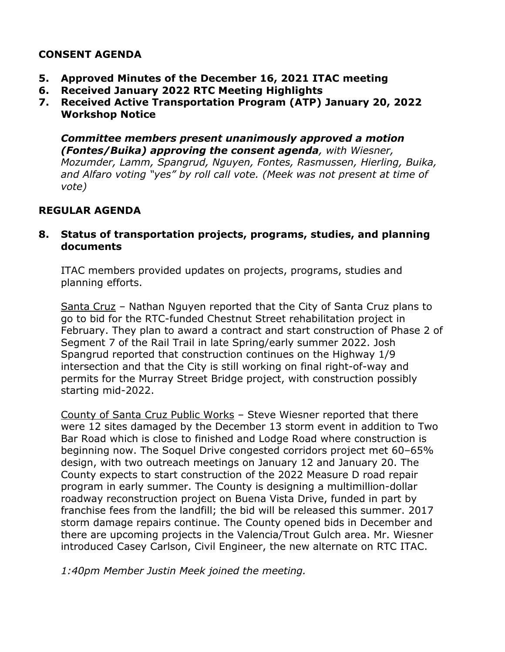## **CONSENT AGENDA**

- **5. Approved Minutes of the December 16, 2021 ITAC meeting**
- **6. Received January 2022 RTC Meeting Highlights**
- **7. Received Active Transportation Program (ATP) January 20, 2022 Workshop Notice**

#### *Committee members present unanimously approved a motion (Fontes/Buika) approving the consent agenda, with Wiesner,*

*Mozumder, Lamm, Spangrud, Nguyen, Fontes, Rasmussen, Hierling, Buika, and Alfaro voting "yes" by roll call vote. (Meek was not present at time of vote)*

## **REGULAR AGENDA**

### **8. Status of transportation projects, programs, studies, and planning documents**

ITAC members provided updates on projects, programs, studies and planning efforts.

Santa Cruz – Nathan Nguyen reported that the City of Santa Cruz plans to go to bid for the RTC-funded Chestnut Street rehabilitation project in February. They plan to award a contract and start construction of Phase 2 of Segment 7 of the Rail Trail in late Spring/early summer 2022. Josh Spangrud reported that construction continues on the Highway 1/9 intersection and that the City is still working on final right-of-way and permits for the Murray Street Bridge project, with construction possibly starting mid-2022.

County of Santa Cruz Public Works – Steve Wiesner reported that there were 12 sites damaged by the December 13 storm event in addition to Two Bar Road which is close to finished and Lodge Road where construction is beginning now. The Soquel Drive congested corridors project met 60–65% design, with two outreach meetings on January 12 and January 20. The County expects to start construction of the 2022 Measure D road repair program in early summer. The County is designing a multimillion-dollar roadway reconstruction project on Buena Vista Drive, funded in part by franchise fees from the landfill; the bid will be released this summer. 2017 storm damage repairs continue. The County opened bids in December and there are upcoming projects in the Valencia/Trout Gulch area. Mr. Wiesner introduced Casey Carlson, Civil Engineer, the new alternate on RTC ITAC.

*1:40pm Member Justin Meek joined the meeting.*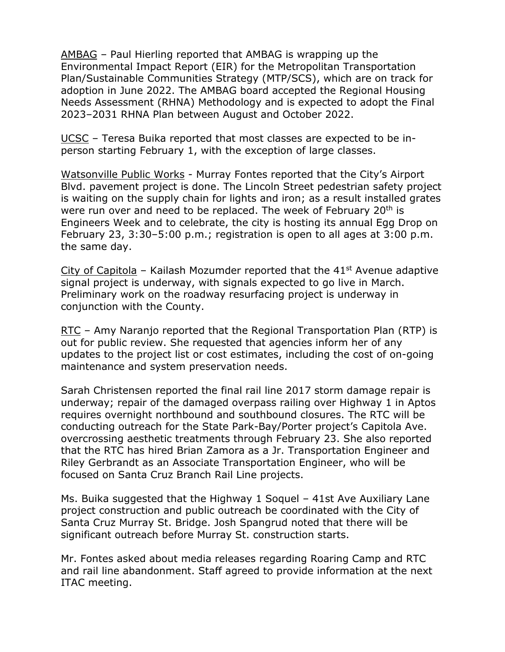AMBAG – Paul Hierling reported that AMBAG is wrapping up the Environmental Impact Report (EIR) for the Metropolitan Transportation Plan/Sustainable Communities Strategy (MTP/SCS), which are on track for adoption in June 2022. The AMBAG board accepted the Regional Housing Needs Assessment (RHNA) Methodology and is expected to adopt the Final 2023–2031 RHNA Plan between August and October 2022.

UCSC – Teresa Buika reported that most classes are expected to be inperson starting February 1, with the exception of large classes.

Watsonville Public Works - Murray Fontes reported that the City's Airport Blvd. pavement project is done. The Lincoln Street pedestrian safety project is waiting on the supply chain for lights and iron; as a result installed grates were run over and need to be replaced. The week of February 20<sup>th</sup> is Engineers Week and to celebrate, the city is hosting its annual Egg Drop on February 23, 3:30–5:00 p.m.; registration is open to all ages at 3:00 p.m. the same day.

City of Capitola – Kailash Mozumder reported that the  $41<sup>st</sup>$  Avenue adaptive signal project is underway, with signals expected to go live in March. Preliminary work on the roadway resurfacing project is underway in conjunction with the County.

RTC – Amy Naranjo reported that the Regional Transportation Plan (RTP) is out for public review. She requested that agencies inform her of any updates to the project list or cost estimates, including the cost of on-going maintenance and system preservation needs.

Sarah Christensen reported the final rail line 2017 storm damage repair is underway; repair of the damaged overpass railing over Highway 1 in Aptos requires overnight northbound and southbound closures. The RTC will be conducting outreach for the State Park-Bay/Porter project's Capitola Ave. overcrossing aesthetic treatments through February 23. She also reported that the RTC has hired Brian Zamora as a Jr. Transportation Engineer and Riley Gerbrandt as an Associate Transportation Engineer, who will be focused on Santa Cruz Branch Rail Line projects.

Ms. Buika suggested that the Highway 1 Soquel – 41st Ave Auxiliary Lane project construction and public outreach be coordinated with the City of Santa Cruz Murray St. Bridge. Josh Spangrud noted that there will be significant outreach before Murray St. construction starts.

Mr. Fontes asked about media releases regarding Roaring Camp and RTC and rail line abandonment. Staff agreed to provide information at the next ITAC meeting.